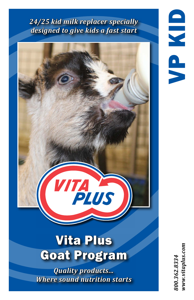## *24/25 kid milk replacer specially designed to give kids a fast start*



VP KID

## Vita Plus Goat Program

*Quality products... Where sound nutrition starts* *800.362.8334 www.vitaplus.com*